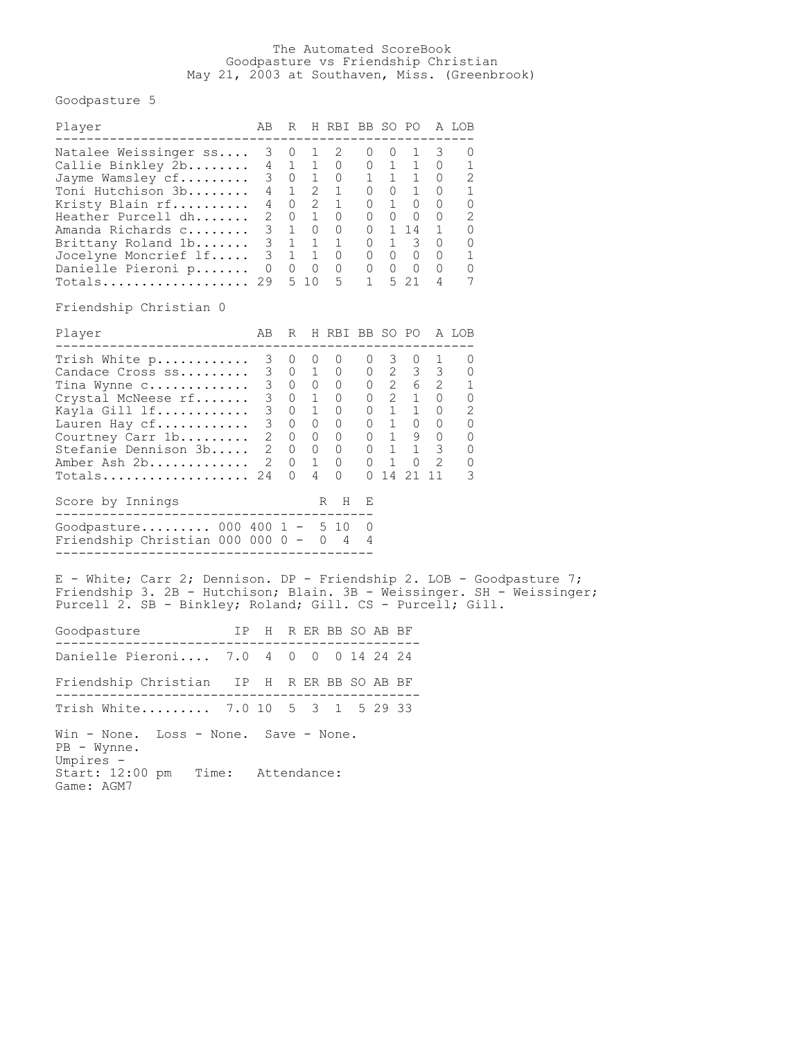## The Automated ScoreBook Goodpasture vs Friendship Christian May 21, 2003 at Southaven, Miss. (Greenbrook)

Goodpasture 5

| Player                                                                                                                                                                                                                                                 |  | AB R H RBI BB SO PO A LOB |  |  |  |  |
|--------------------------------------------------------------------------------------------------------------------------------------------------------------------------------------------------------------------------------------------------------|--|---------------------------|--|--|--|--|
| Natalee Weissinger ss 3 0 1 2 0 0 1 3 0<br>Callie Binkley 2b 4 1 1 0 0 1 1 0 1<br>Jayme Wamsley cf 3 0 1 0 1 1 1 0 2<br>Toni Hutchison 3b 4 1 2 1 0 0 1 0 1<br>Kristy Blain rf 4 0 2 1 0 1 0 0 0<br>Heathe                                             |  |                           |  |  |  |  |
| Friendship Christian 0                                                                                                                                                                                                                                 |  |                           |  |  |  |  |
| Player                                                                                                                                                                                                                                                 |  | AB R H RBI BB SO PO A LOB |  |  |  |  |
| Totals 24 0 4 0 0 14 21 11 3<br>Score by Innings                                                                                                                                                                                                       |  | R H E                     |  |  |  |  |
| Goodpasture 000 400 1 - 5 10 0                                                                                                                                                                                                                         |  |                           |  |  |  |  |
| Friendship Christian 000 000 0 - 0 4 4<br>E - White; Carr 2; Dennison. DP - Friendship 2. LOB - Goodpasture 7;<br>Friendship 3. 2B - Hutchison; Blain. 3B - Weissinger. SH - Weissinger;<br>Purcell 2. SB - Binkley; Roland; Gill. CS - Purcell; Gill. |  |                           |  |  |  |  |
| Goodpasture TP H R ER BB SO AB BF                                                                                                                                                                                                                      |  |                           |  |  |  |  |
| Danielle Pieroni 7.0 4 0 0 0 14 24 24                                                                                                                                                                                                                  |  |                           |  |  |  |  |
| Friendship Christian IP H R ER BB SO AB BF                                                                                                                                                                                                             |  |                           |  |  |  |  |
| Trish White 7.0 10 5 3 1 5 29 33                                                                                                                                                                                                                       |  |                           |  |  |  |  |
| Win - None. Loss - None. Save - None.<br>$PB - Wynne.$<br>Umpires -<br>Start: 12:00 pm Time: Attendance:<br>Game: AGM7                                                                                                                                 |  |                           |  |  |  |  |